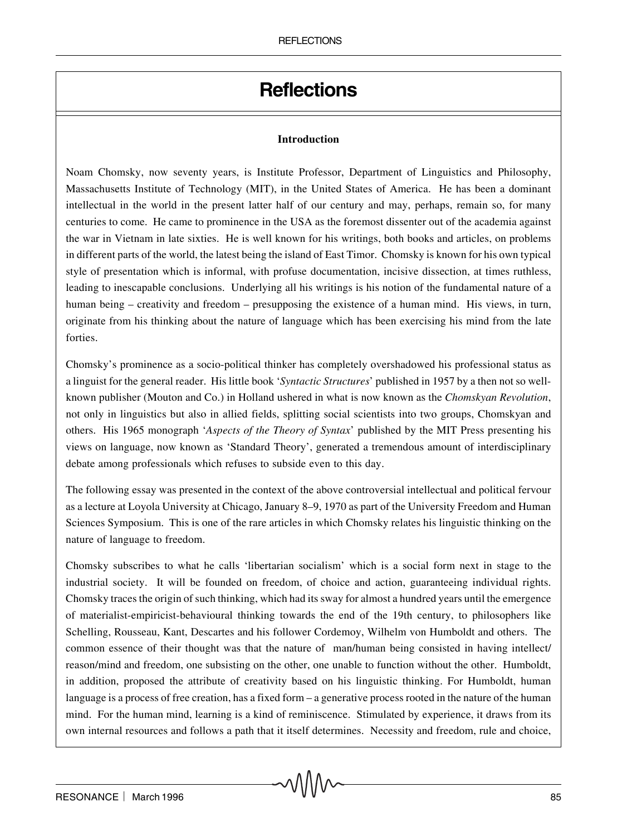# **Reflections**

#### **Introduction**

Noam Chomsky, now seventy years, is Institute Professor, Department of Linguistics and Philosophy, Massachusetts Institute of Technology (MIT), in the United States of America. He has been a dominant intellectual in the world in the present latter half of our century and may, perhaps, remain so, for many centuries to come. He came to prominence in the USA as the foremost dissenter out of the academia against the war in Vietnam in late sixties. He is well known for his writings, both books and articles, on problems in different parts of the world, the latest being the island of East Timor. Chomsky is known for his own typical style of presentation which is informal, with profuse documentation, incisive dissection, at times ruthless, leading to inescapable conclusions. Underlying all his writings is his notion of the fundamental nature of a human being – creativity and freedom – presupposing the existence of a human mind. His views, in turn, originate from his thinking about the nature of language which has been exercising his mind from the late forties.

Chomsky's prominence as a socio-political thinker has completely overshadowed his professional status as a linguist for the general reader. His little book '*Syntactic Structures*' published in 1957 by a then not so wellknown publisher (Mouton and Co.) in Holland ushered in what is now known as the *Chomskyan Revolution*, not only in linguistics but also in allied fields, splitting social scientists into two groups, Chomskyan and others. His 1965 monograph '*Aspects of the Theory of Syntax*' published by the MIT Press presenting his views on language, now known as 'Standard Theory', generated a tremendous amount of interdisciplinary debate among professionals which refuses to subside even to this day.

The following essay was presented in the context of the above controversial intellectual and political fervour as a lecture at Loyola University at Chicago, January 8–9, 1970 as part of the University Freedom and Human Sciences Symposium. This is one of the rare articles in which Chomsky relates his linguistic thinking on the nature of language to freedom.

Chomsky subscribes to what he calls 'libertarian socialism' which is a social form next in stage to the industrial society. It will be founded on freedom, of choice and action, guaranteeing individual rights. Chomsky traces the origin of such thinking, which had its sway for almost a hundred years until the emergence of materialist-empiricist-behavioural thinking towards the end of the 19th century, to philosophers like Schelling, Rousseau, Kant, Descartes and his follower Cordemoy, Wilhelm von Humboldt and others. The common essence of their thought was that the nature of man/human being consisted in having intellect/ reason/mind and freedom, one subsisting on the other, one unable to function without the other. Humboldt, in addition, proposed the attribute of creativity based on his linguistic thinking. For Humboldt, human language is a process of free creation, has a fixed form – a generative process rooted in the nature of the human mind. For the human mind, learning is a kind of reminiscence. Stimulated by experience, it draws from its own internal resources and follows a path that it itself determines. Necessity and freedom, rule and choice,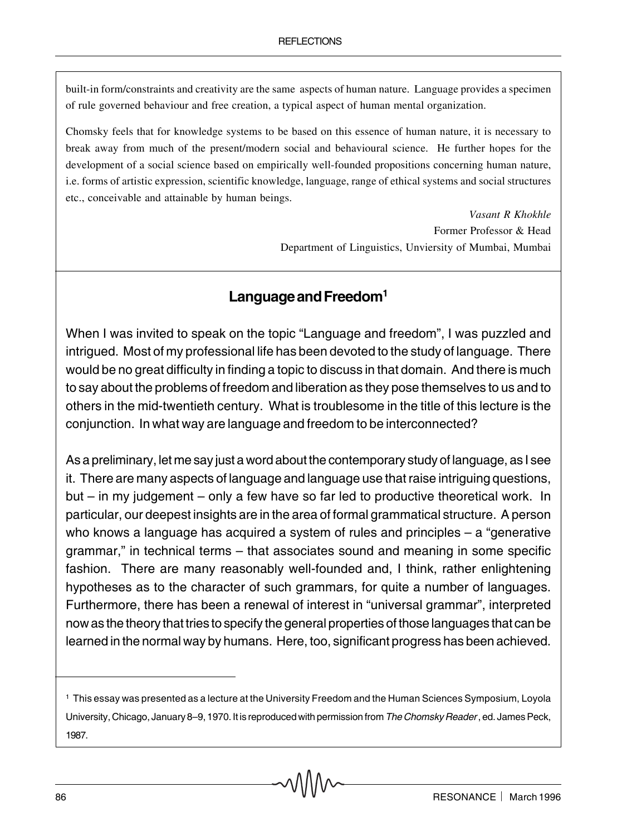built-in form/constraints and creativity are the same aspects of human nature. Language provides a specimen of rule governed behaviour and free creation, a typical aspect of human mental organization.

Chomsky feels that for knowledge systems to be based on this essence of human nature, it is necessary to break away from much of the present/modern social and behavioural science. He further hopes for the development of a social science based on empirically well-founded propositions concerning human nature, i.e. forms of artistic expression, scientific knowledge, language, range of ethical systems and social structures etc., conceivable and attainable by human beings.

> *Vasant R Khokhle* Former Professor & Head Department of Linguistics, Unviersity of Mumbai, Mumbai

# **Language and Freedom1**

When I was invited to speak on the topic "Language and freedom", I was puzzled and intrigued. Most of my professional life has been devoted to the study of language. There would be no great difficulty in finding a topic to discuss in that domain. And there is much to say about the problems of freedom and liberation as they pose themselves to us and to others in the mid-twentieth century. What is troublesome in the title of this lecture is the conjunction. In what way are language and freedom to be interconnected?

As a preliminary, let me say just a word about the contemporary study of language, as I see it. There are many aspects of language and language use that raise intriguing questions, but – in my judgement – only a few have so far led to productive theoretical work. In particular, our deepest insights are in the area of formal grammatical structure. A person who knows a language has acquired a system of rules and principles – a "generative grammar," in technical terms – that associates sound and meaning in some specific fashion. There are many reasonably well-founded and, I think, rather enlightening hypotheses as to the character of such grammars, for quite a number of languages. Furthermore, there has been a renewal of interest in "universal grammar", interpreted now as the theory that tries to specify the general properties of those languages that can be learned in the normal way by humans. Here, too, significant progress has been achieved.

<sup>1</sup> This essay was presented as a lecture at the University Freedom and the Human Sciences Symposium, Loyola University, Chicago, January 8–9, 1970. It is reproduced with permission from *The Chomsky Reader* , ed. James Peck, 1987.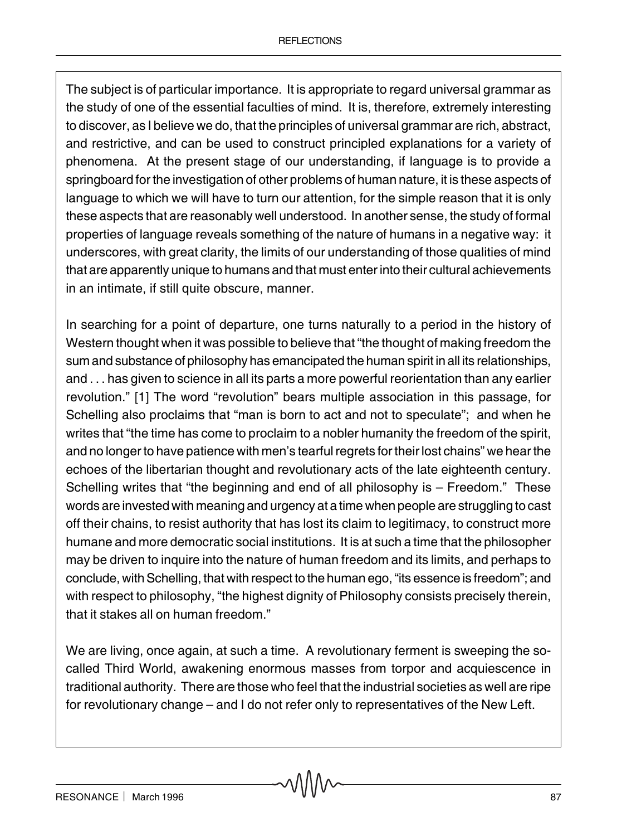The subject is of particular importance. It is appropriate to regard universal grammar as the study of one of the essential faculties of mind. It is, therefore, extremely interesting to discover, as I believe we do, that the principles of universal grammar are rich, abstract, and restrictive, and can be used to construct principled explanations for a variety of phenomena. At the present stage of our understanding, if language is to provide a springboard for the investigation of other problems of human nature, it is these aspects of language to which we will have to turn our attention, for the simple reason that it is only these aspects that are reasonably well understood. In another sense, the study of formal properties of language reveals something of the nature of humans in a negative way: it underscores, with great clarity, the limits of our understanding of those qualities of mind that are apparently unique to humans and that must enter into their cultural achievements in an intimate, if still quite obscure, manner.

In searching for a point of departure, one turns naturally to a period in the history of Western thought when it was possible to believe that "the thought of making freedom the sum and substance of philosophy has emancipated the human spirit in all its relationships, and . . . has given to science in all its parts a more powerful reorientation than any earlier revolution." [1] The word "revolution" bears multiple association in this passage, for Schelling also proclaims that "man is born to act and not to speculate"; and when he writes that "the time has come to proclaim to a nobler humanity the freedom of the spirit, and no longer to have patience with men's tearful regrets for their lost chains" we hear the echoes of the libertarian thought and revolutionary acts of the late eighteenth century. Schelling writes that "the beginning and end of all philosophy is – Freedom." These words are invested with meaning and urgency at a time when people are struggling to cast off their chains, to resist authority that has lost its claim to legitimacy, to construct more humane and more democratic social institutions. It is at such a time that the philosopher may be driven to inquire into the nature of human freedom and its limits, and perhaps to conclude, with Schelling, that with respect to the human ego, "its essence is freedom"; and with respect to philosophy, "the highest dignity of Philosophy consists precisely therein, that it stakes all on human freedom."

We are living, once again, at such a time. A revolutionary ferment is sweeping the socalled Third World, awakening enormous masses from torpor and acquiescence in traditional authority. There are those who feel that the industrial societies as well are ripe for revolutionary change – and I do not refer only to representatives of the New Left.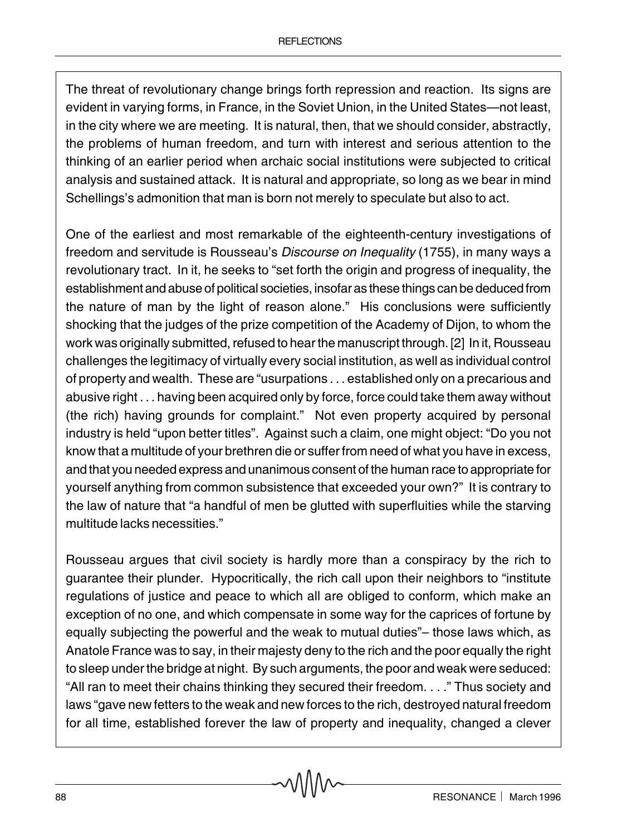The threat of revolutionary change brings forth repression and reaction. Its signs are evident in varying forms, in France, in the Soviet Union, in the United States—not least, in the city where we are meeting. It is natural, then, that we should consider, abstractly, the problems of human freedom, and turn with interest and serious attention to the thinking of an earlier period when archaic social institutions were subjected to critical analysis and sustained attack. It is natural and appropriate, so long as we bear in mind Schellings's admonition that man is born not merely to speculate but also to act.

One of the earliest and most remarkable of the eighteenth-century investigations of freedom and servitude is Rousseau's *Discourse on Inequality* (1755), in many ways a revolutionary tract. In it, he seeks to "set forth the origin and progress of inequality, the establishment and abuse of political societies, insofar as these things can be deduced from the nature of man by the light of reason alone." His conclusions were sufficiently shocking that the judges of the prize competition of the Academy of Dijon, to whom the work was originally submitted, refused to hear the manuscript through. [2] In it, Rousseau challenges the legitimacy of virtually every social institution, as well as individual control of property and wealth. These are "usurpations . . . established only on a precarious and abusive right . . . having been acquired only by force, force could take them away without (the rich) having grounds for complaint." Not even property acquired by personal industry is held "upon better titles". Against such a claim, one might object: "Do you not know that a multitude of your brethren die or suffer from need of what you have in excess, and that you needed express and unanimous consent of the human race to appropriate for yourself anything from common subsistence that exceeded your own?" It is contrary to the law of nature that "a handful of men be glutted with superfluities while the starving multitude lacks necessities."

Rousseau argues that civil society is hardly more than a conspiracy by the rich to guarantee their plunder. Hypocritically, the rich call upon their neighbors to "institute regulations of justice and peace to which all are obliged to conform, which make an exception of no one, and which compensate in some way for the caprices of fortune by equally subjecting the powerful and the weak to mutual duties"– those laws which, as Anatole France was to say, in their majesty deny to the rich and the poor equally the right to sleep under the bridge at night. By such arguments, the poor and weak were seduced: "All ran to meet their chains thinking they secured their freedom. . . ." Thus society and laws "gave new fetters to the weak and new forces to the rich, destroyed natural freedom for all time, established forever the law of property and inequality, changed a clever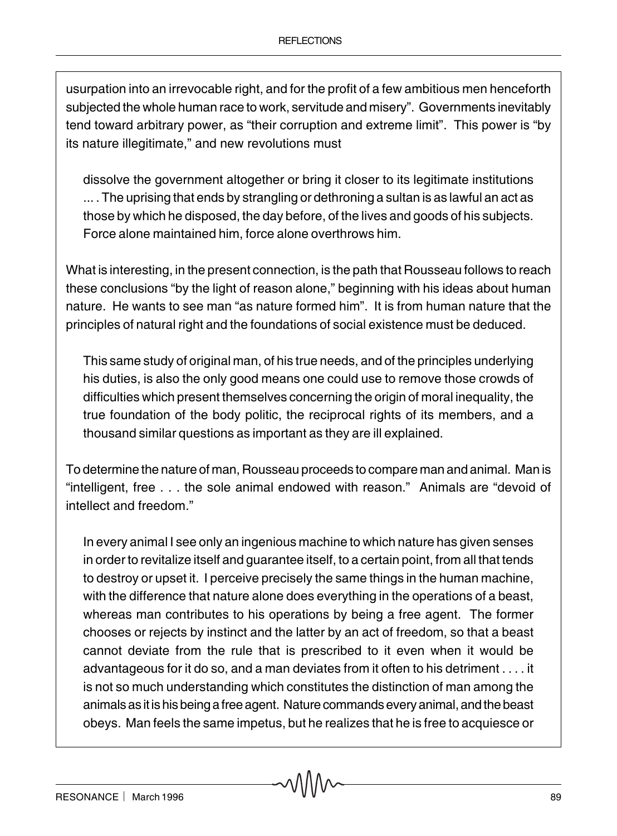usurpation into an irrevocable right, and for the profit of a few ambitious men henceforth subjected the whole human race to work, servitude and misery". Governments inevitably tend toward arbitrary power, as "their corruption and extreme limit". This power is "by its nature illegitimate," and new revolutions must

dissolve the government altogether or bring it closer to its legitimate institutions ... . The uprising that ends by strangling or dethroning a sultan is as lawful an act as those by which he disposed, the day before, of the lives and goods of his subjects. Force alone maintained him, force alone overthrows him.

What is interesting, in the present connection, is the path that Rousseau follows to reach these conclusions "by the light of reason alone," beginning with his ideas about human nature. He wants to see man "as nature formed him". It is from human nature that the principles of natural right and the foundations of social existence must be deduced.

This same study of original man, of his true needs, and of the principles underlying his duties, is also the only good means one could use to remove those crowds of difficulties which present themselves concerning the origin of moral inequality, the true foundation of the body politic, the reciprocal rights of its members, and a thousand similar questions as important as they are ill explained.

To determine the nature of man, Rousseau proceeds to compare man and animal. Man is "intelligent, free . . . the sole animal endowed with reason." Animals are "devoid of intellect and freedom."

In every animal I see only an ingenious machine to which nature has given senses in order to revitalize itself and guarantee itself, to a certain point, from all that tends to destroy or upset it. I perceive precisely the same things in the human machine, with the difference that nature alone does everything in the operations of a beast, whereas man contributes to his operations by being a free agent. The former chooses or rejects by instinct and the latter by an act of freedom, so that a beast cannot deviate from the rule that is prescribed to it even when it would be advantageous for it do so, and a man deviates from it often to his detriment . . . . it is not so much understanding which constitutes the distinction of man among the animals as it is his being a free agent. Nature commands every animal, and the beast obeys. Man feels the same impetus, but he realizes that he is free to acquiesce or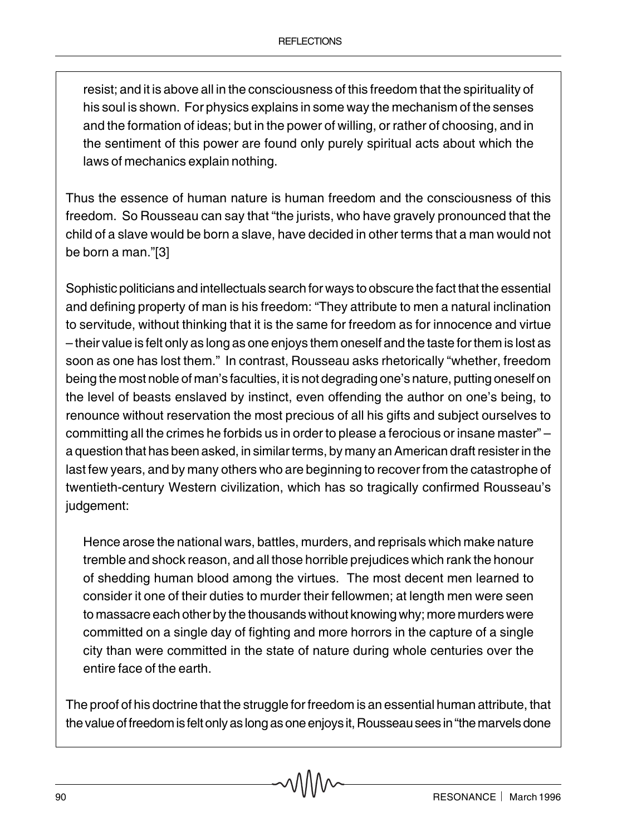resist; and it is above all in the consciousness of this freedom that the spirituality of his soul is shown. For physics explains in some way the mechanism of the senses and the formation of ideas; but in the power of willing, or rather of choosing, and in the sentiment of this power are found only purely spiritual acts about which the laws of mechanics explain nothing.

Thus the essence of human nature is human freedom and the consciousness of this freedom. So Rousseau can say that "the jurists, who have gravely pronounced that the child of a slave would be born a slave, have decided in other terms that a man would not be born a man."[3]

Sophistic politicians and intellectuals search for ways to obscure the fact that the essential and defining property of man is his freedom: "They attribute to men a natural inclination to servitude, without thinking that it is the same for freedom as for innocence and virtue – their value is felt only as long as one enjoys them oneself and the taste for them is lost as soon as one has lost them." In contrast, Rousseau asks rhetorically "whether, freedom being the most noble of man's faculties, it is not degrading one's nature, putting oneself on the level of beasts enslaved by instinct, even offending the author on one's being, to renounce without reservation the most precious of all his gifts and subject ourselves to committing all the crimes he forbids us in order to please a ferocious or insane master" – a question that has been asked, in similar terms, by many an American draft resister in the last few years, and by many others who are beginning to recover from the catastrophe of twentieth-century Western civilization, which has so tragically confirmed Rousseau's judgement:

Hence arose the national wars, battles, murders, and reprisals which make nature tremble and shock reason, and all those horrible prejudices which rank the honour of shedding human blood among the virtues. The most decent men learned to consider it one of their duties to murder their fellowmen; at length men were seen to massacre each other by the thousands without knowing why; more murders were committed on a single day of fighting and more horrors in the capture of a single city than were committed in the state of nature during whole centuries over the entire face of the earth.

The proof of his doctrine that the struggle for freedom is an essential human attribute, that the value of freedom is felt only as long as one enjoys it, Rousseau sees in "the marvels done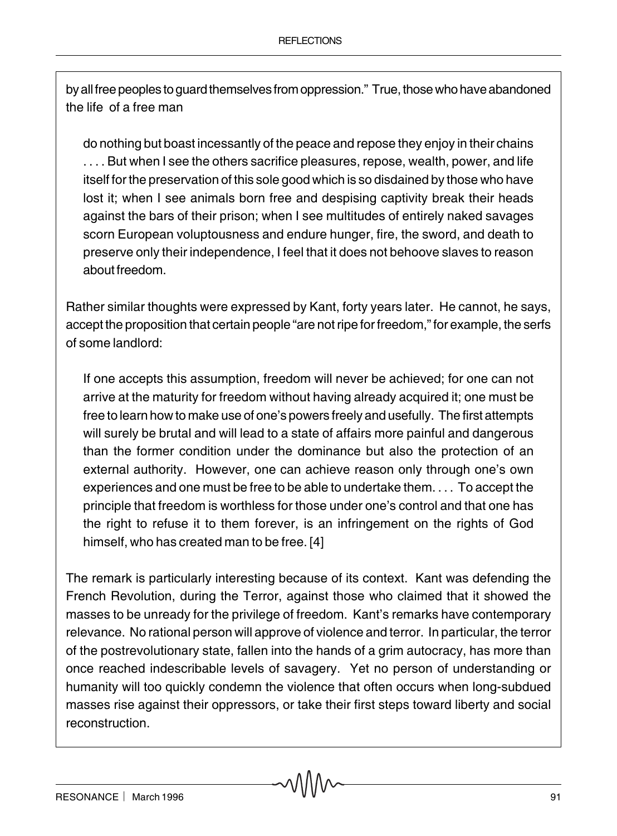by all free peoples to guard themselves from oppression." True, those who have abandoned the life of a free man

do nothing but boast incessantly of the peace and repose they enjoy in their chains . . . . But when I see the others sacrifice pleasures, repose, wealth, power, and life itself for the preservation of this sole good which is so disdained by those who have lost it; when I see animals born free and despising captivity break their heads against the bars of their prison; when I see multitudes of entirely naked savages scorn European voluptousness and endure hunger, fire, the sword, and death to preserve only their independence, I feel that it does not behoove slaves to reason about freedom.

Rather similar thoughts were expressed by Kant, forty years later. He cannot, he says, accept the proposition that certain people "are not ripe for freedom," for example, the serfs of some landlord:

If one accepts this assumption, freedom will never be achieved; for one can not arrive at the maturity for freedom without having already acquired it; one must be free to learn how to make use of one's powers freely and usefully. The first attempts will surely be brutal and will lead to a state of affairs more painful and dangerous than the former condition under the dominance but also the protection of an external authority. However, one can achieve reason only through one's own experiences and one must be free to be able to undertake them. . . . To accept the principle that freedom is worthless for those under one's control and that one has the right to refuse it to them forever, is an infringement on the rights of God himself, who has created man to be free. [4]

The remark is particularly interesting because of its context. Kant was defending the French Revolution, during the Terror, against those who claimed that it showed the masses to be unready for the privilege of freedom. Kant's remarks have contemporary relevance. No rational person will approve of violence and terror. In particular, the terror of the postrevolutionary state, fallen into the hands of a grim autocracy, has more than once reached indescribable levels of savagery. Yet no person of understanding or humanity will too quickly condemn the violence that often occurs when long-subdued masses rise against their oppressors, or take their first steps toward liberty and social reconstruction.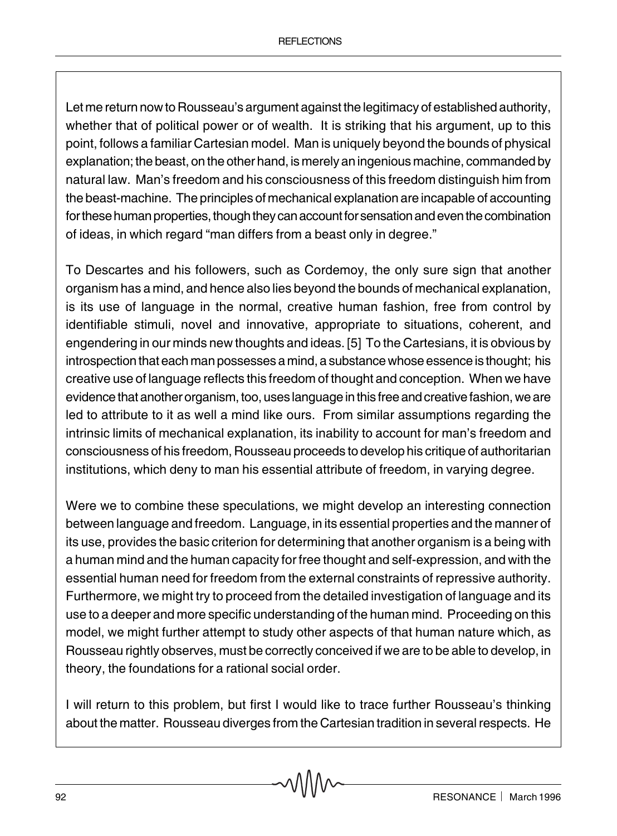Let me return now to Rousseau's argument against the legitimacy of established authority, whether that of political power or of wealth. It is striking that his argument, up to this point, follows a familiar Cartesian model. Man is uniquely beyond the bounds of physical explanation; the beast, on the other hand, is merely an ingenious machine, commanded by natural law. Man's freedom and his consciousness of this freedom distinguish him from the beast-machine. The principles of mechanical explanation are incapable of accounting for these human properties, though they can account for sensation and even the combination of ideas, in which regard "man differs from a beast only in degree."

To Descartes and his followers, such as Cordemoy, the only sure sign that another organism has a mind, and hence also lies beyond the bounds of mechanical explanation, is its use of language in the normal, creative human fashion, free from control by identifiable stimuli, novel and innovative, appropriate to situations, coherent, and engendering in our minds new thoughts and ideas. [5] To the Cartesians, it is obvious by introspection that each man possesses a mind, a substance whose essence is thought; his creative use of language reflects this freedom of thought and conception. When we have evidence that another organism, too, uses language in this free and creative fashion, we are led to attribute to it as well a mind like ours. From similar assumptions regarding the intrinsic limits of mechanical explanation, its inability to account for man's freedom and consciousness of his freedom, Rousseau proceeds to develop his critique of authoritarian institutions, which deny to man his essential attribute of freedom, in varying degree.

Were we to combine these speculations, we might develop an interesting connection between language and freedom. Language, in its essential properties and the manner of its use, provides the basic criterion for determining that another organism is a being with a human mind and the human capacity for free thought and self-expression, and with the essential human need for freedom from the external constraints of repressive authority. Furthermore, we might try to proceed from the detailed investigation of language and its use to a deeper and more specific understanding of the human mind. Proceeding on this model, we might further attempt to study other aspects of that human nature which, as Rousseau rightly observes, must be correctly conceived if we are to be able to develop, in theory, the foundations for a rational social order.

I will return to this problem, but first I would like to trace further Rousseau's thinking about the matter. Rousseau diverges from the Cartesian tradition in several respects. He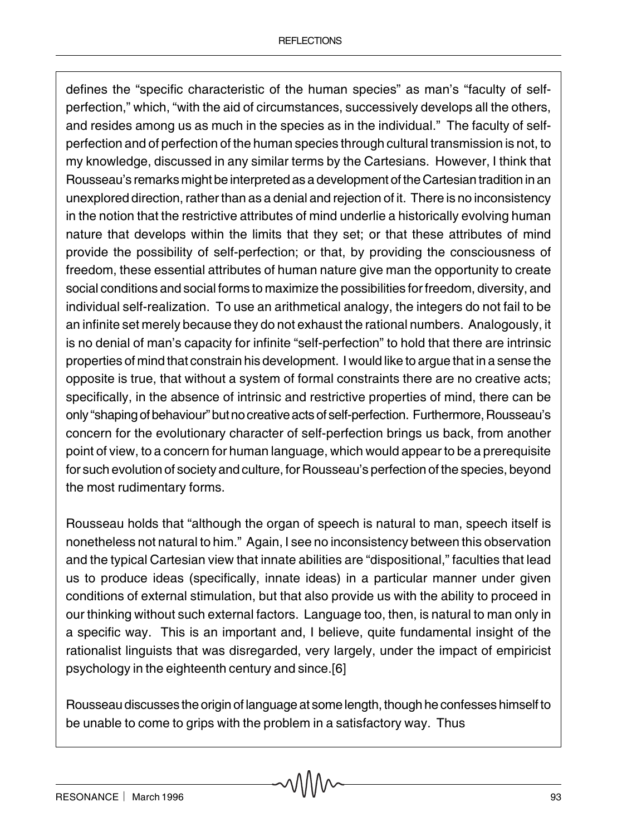#### REFLECTIONS

defines the "specific characteristic of the human species" as man's "faculty of selfperfection," which, "with the aid of circumstances, successively develops all the others, and resides among us as much in the species as in the individual." The faculty of selfperfection and of perfection of the human species through cultural transmission is not, to my knowledge, discussed in any similar terms by the Cartesians. However, I think that Rousseau's remarks might be interpreted as a development of the Cartesian tradition in an unexplored direction, rather than as a denial and rejection of it. There is no inconsistency in the notion that the restrictive attributes of mind underlie a historically evolving human nature that develops within the limits that they set; or that these attributes of mind provide the possibility of self-perfection; or that, by providing the consciousness of freedom, these essential attributes of human nature give man the opportunity to create social conditions and social forms to maximize the possibilities for freedom, diversity, and individual self-realization. To use an arithmetical analogy, the integers do not fail to be an infinite set merely because they do not exhaust the rational numbers. Analogously, it is no denial of man's capacity for infinite "self-perfection" to hold that there are intrinsic properties of mind that constrain his development. I would like to argue that in a sense the opposite is true, that without a system of formal constraints there are no creative acts; specifically, in the absence of intrinsic and restrictive properties of mind, there can be only "shaping of behaviour" but no creative acts of self-perfection. Furthermore, Rousseau's concern for the evolutionary character of self-perfection brings us back, from another point of view, to a concern for human language, which would appear to be a prerequisite for such evolution of society and culture, for Rousseau's perfection of the species, beyond the most rudimentary forms.

Rousseau holds that "although the organ of speech is natural to man, speech itself is nonetheless not natural to him." Again, I see no inconsistency between this observation and the typical Cartesian view that innate abilities are "dispositional," faculties that lead us to produce ideas (specifically, innate ideas) in a particular manner under given conditions of external stimulation, but that also provide us with the ability to proceed in our thinking without such external factors. Language too, then, is natural to man only in a specific way. This is an important and, I believe, quite fundamental insight of the rationalist linguists that was disregarded, very largely, under the impact of empiricist psychology in the eighteenth century and since.[6]

Rousseau discusses the origin of language at some length, though he confesses himself to be unable to come to grips with the problem in a satisfactory way. Thus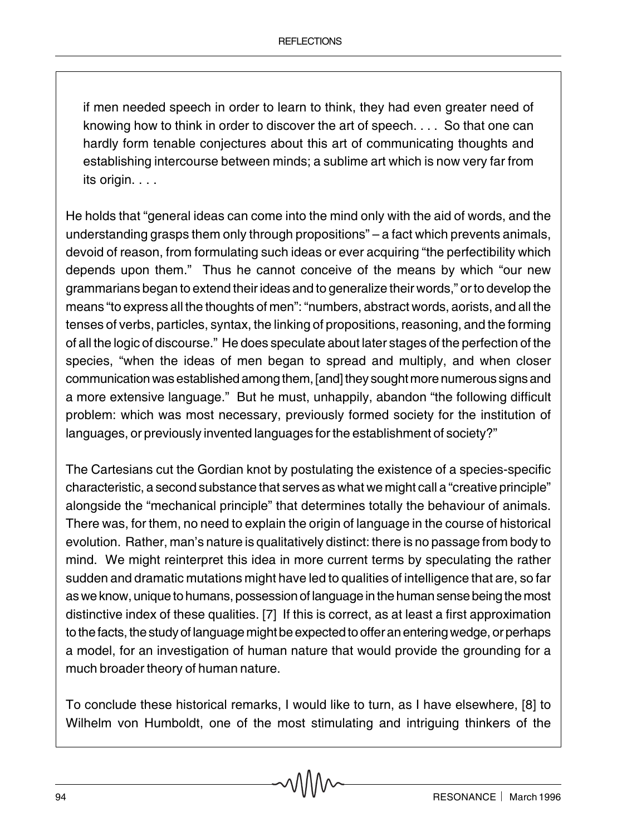if men needed speech in order to learn to think, they had even greater need of knowing how to think in order to discover the art of speech. . . . So that one can hardly form tenable conjectures about this art of communicating thoughts and establishing intercourse between minds; a sublime art which is now very far from its origin. . . .

He holds that "general ideas can come into the mind only with the aid of words, and the understanding grasps them only through propositions" – a fact which prevents animals, devoid of reason, from formulating such ideas or ever acquiring "the perfectibility which depends upon them." Thus he cannot conceive of the means by which "our new grammarians began to extend their ideas and to generalize their words," or to develop the means "to express all the thoughts of men": "numbers, abstract words, aorists, and all the tenses of verbs, particles, syntax, the linking of propositions, reasoning, and the forming of all the logic of discourse." He does speculate about later stages of the perfection of the species, "when the ideas of men began to spread and multiply, and when closer communication was established among them, [and] they sought more numerous signs and a more extensive language." But he must, unhappily, abandon "the following difficult problem: which was most necessary, previously formed society for the institution of languages, or previously invented languages for the establishment of society?"

The Cartesians cut the Gordian knot by postulating the existence of a species-specific characteristic, a second substance that serves as what we might call a "creative principle" alongside the "mechanical principle" that determines totally the behaviour of animals. There was, for them, no need to explain the origin of language in the course of historical evolution. Rather, man's nature is qualitatively distinct: there is no passage from body to mind. We might reinterpret this idea in more current terms by speculating the rather sudden and dramatic mutations might have led to qualities of intelligence that are, so far as we know, unique to humans, possession of language in the human sense being the most distinctive index of these qualities. [7] If this is correct, as at least a first approximation to the facts, the study of language might be expected to offer an entering wedge, or perhaps a model, for an investigation of human nature that would provide the grounding for a much broader theory of human nature.

To conclude these historical remarks, I would like to turn, as I have elsewhere, [8] to Wilhelm von Humboldt, one of the most stimulating and intriguing thinkers of the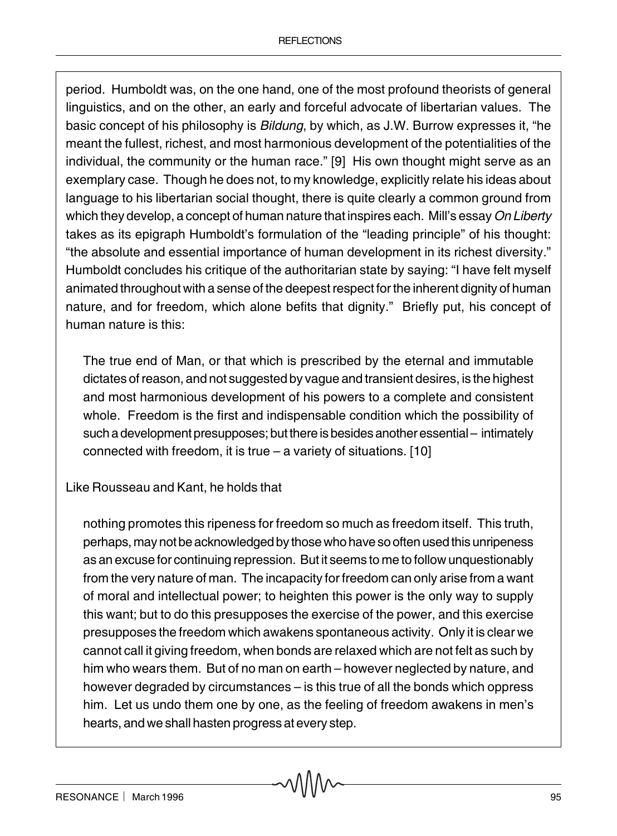period. Humboldt was, on the one hand, one of the most profound theorists of general linguistics, and on the other, an early and forceful advocate of libertarian values. The basic concept of his philosophy is *Bildung*, by which, as J.W. Burrow expresses it, "he meant the fullest, richest, and most harmonious development of the potentialities of the individual, the community or the human race." [9] His own thought might serve as an exemplary case. Though he does not, to my knowledge, explicitly relate his ideas about language to his libertarian social thought, there is quite clearly a common ground from which they develop, a concept of human nature that inspires each. Mill's essay *On Liberty* takes as its epigraph Humboldt's formulation of the "leading principle" of his thought: "the absolute and essential importance of human development in its richest diversity." Humboldt concludes his critique of the authoritarian state by saying: "I have felt myself animated throughout with a sense of the deepest respect for the inherent dignity of human nature, and for freedom, which alone befits that dignity." Briefly put, his concept of human nature is this:

The true end of Man, or that which is prescribed by the eternal and immutable dictates of reason, and not suggested by vague and transient desires, is the highest and most harmonious development of his powers to a complete and consistent whole. Freedom is the first and indispensable condition which the possibility of such a development presupposes; but there is besides another essential – intimately connected with freedom, it is true  $-$  a variety of situations. [10]

Like Rousseau and Kant, he holds that

nothing promotes this ripeness for freedom so much as freedom itself. This truth, perhaps, may not be acknowledged by those who have so often used this unripeness as an excuse for continuing repression. But it seems to me to follow unquestionably from the very nature of man. The incapacity for freedom can only arise from a want of moral and intellectual power; to heighten this power is the only way to supply this want; but to do this presupposes the exercise of the power, and this exercise presupposes the freedom which awakens spontaneous activity. Only it is clear we cannot call it giving freedom, when bonds are relaxed which are not felt as such by him who wears them. But of no man on earth – however neglected by nature, and however degraded by circumstances – is this true of all the bonds which oppress him. Let us undo them one by one, as the feeling of freedom awakens in men's hearts, and we shall hasten progress at every step.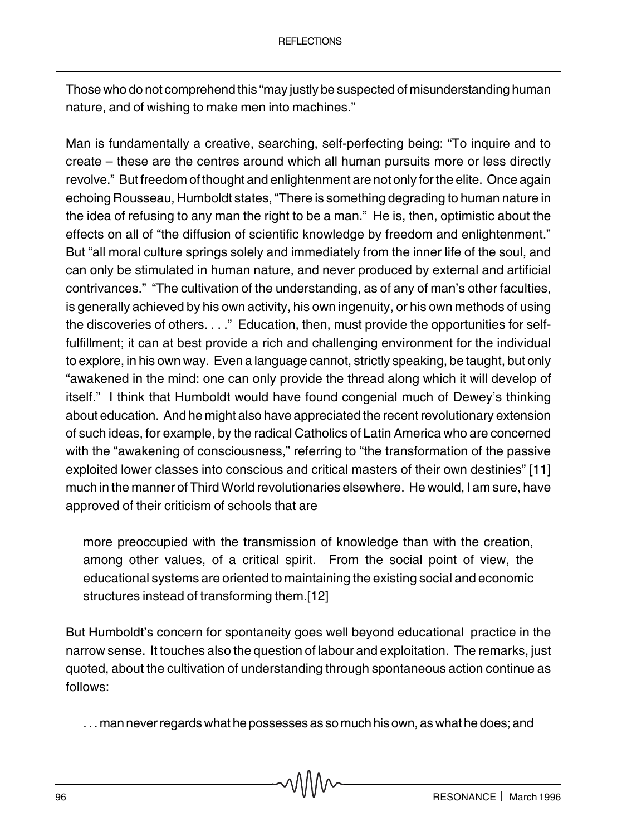Those who do not comprehend this "may justly be suspected of misunderstanding human nature, and of wishing to make men into machines."

Man is fundamentally a creative, searching, self-perfecting being: "To inquire and to create – these are the centres around which all human pursuits more or less directly revolve." But freedom of thought and enlightenment are not only for the elite. Once again echoing Rousseau, Humboldt states, "There is something degrading to human nature in the idea of refusing to any man the right to be a man." He is, then, optimistic about the effects on all of "the diffusion of scientific knowledge by freedom and enlightenment." But "all moral culture springs solely and immediately from the inner life of the soul, and can only be stimulated in human nature, and never produced by external and artificial contrivances." "The cultivation of the understanding, as of any of man's other faculties, is generally achieved by his own activity, his own ingenuity, or his own methods of using the discoveries of others. . . ." Education, then, must provide the opportunities for selffulfillment; it can at best provide a rich and challenging environment for the individual to explore, in his own way. Even a language cannot, strictly speaking, be taught, but only "awakened in the mind: one can only provide the thread along which it will develop of itself." I think that Humboldt would have found congenial much of Dewey's thinking about education. And he might also have appreciated the recent revolutionary extension of such ideas, for example, by the radical Catholics of Latin America who are concerned with the "awakening of consciousness," referring to "the transformation of the passive exploited lower classes into conscious and critical masters of their own destinies" [11] much in the manner of Third World revolutionaries elsewhere. He would, I am sure, have approved of their criticism of schools that are

more preoccupied with the transmission of knowledge than with the creation, among other values, of a critical spirit. From the social point of view, the educational systems are oriented to maintaining the existing social and economic structures instead of transforming them.[12]

But Humboldt's concern for spontaneity goes well beyond educational practice in the narrow sense. It touches also the question of labour and exploitation. The remarks, just quoted, about the cultivation of understanding through spontaneous action continue as follows:

. . . man never regards what he possesses as so much his own, as what he does; and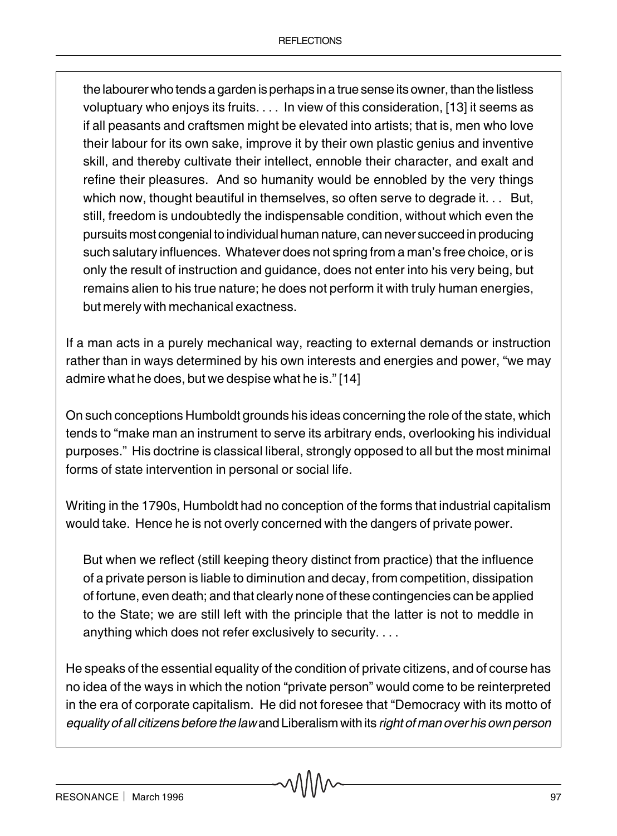the labourer who tends a garden is perhaps in a true sense its owner, than the listless voluptuary who enjoys its fruits. . . . In view of this consideration, [13] it seems as if all peasants and craftsmen might be elevated into artists; that is, men who love their labour for its own sake, improve it by their own plastic genius and inventive skill, and thereby cultivate their intellect, ennoble their character, and exalt and refine their pleasures. And so humanity would be ennobled by the very things which now, thought beautiful in themselves, so often serve to degrade it. . . But, still, freedom is undoubtedly the indispensable condition, without which even the pursuits most congenial to individual human nature, can never succeed in producing such salutary influences. Whatever does not spring from a man's free choice, or is only the result of instruction and guidance, does not enter into his very being, but remains alien to his true nature; he does not perform it with truly human energies, but merely with mechanical exactness.

If a man acts in a purely mechanical way, reacting to external demands or instruction rather than in ways determined by his own interests and energies and power, "we may admire what he does, but we despise what he is." [14]

On such conceptions Humboldt grounds his ideas concerning the role of the state, which tends to "make man an instrument to serve its arbitrary ends, overlooking his individual purposes." His doctrine is classical liberal, strongly opposed to all but the most minimal forms of state intervention in personal or social life.

Writing in the 1790s, Humboldt had no conception of the forms that industrial capitalism would take. Hence he is not overly concerned with the dangers of private power.

But when we reflect (still keeping theory distinct from practice) that the influence of a private person is liable to diminution and decay, from competition, dissipation of fortune, even death; and that clearly none of these contingencies can be applied to the State; we are still left with the principle that the latter is not to meddle in anything which does not refer exclusively to security. . . .

He speaks of the essential equality of the condition of private citizens, and of course has no idea of the ways in which the notion "private person" would come to be reinterpreted in the era of corporate capitalism. He did not foresee that "Democracy with its motto of *equality of all citizens before the law* and Liberalism with its *right of man over his own person*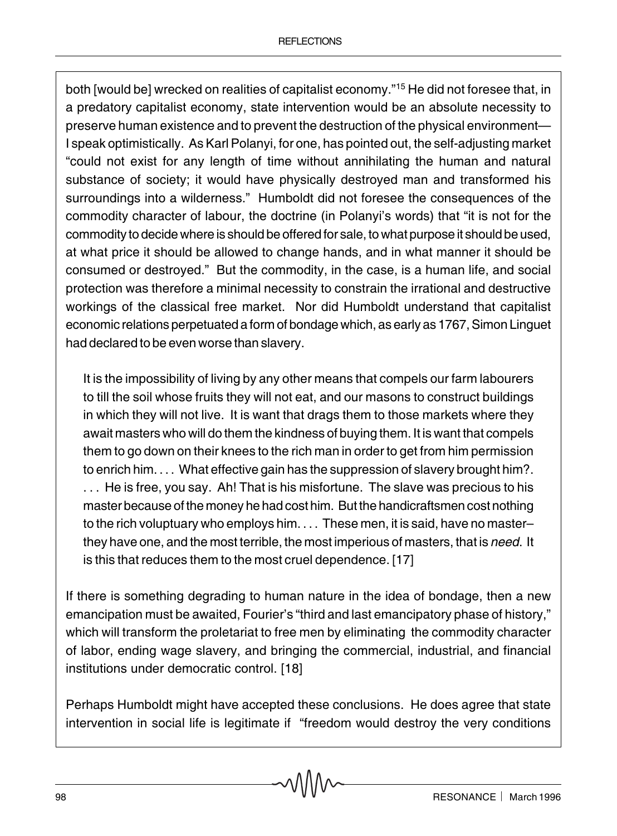both [would be] wrecked on realities of capitalist economy."15 He did not foresee that, in a predatory capitalist economy, state intervention would be an absolute necessity to preserve human existence and to prevent the destruction of the physical environment— I speak optimistically. As Karl Polanyi, for one, has pointed out, the self-adjusting market "could not exist for any length of time without annihilating the human and natural substance of society; it would have physically destroyed man and transformed his surroundings into a wilderness." Humboldt did not foresee the consequences of the commodity character of labour, the doctrine (in Polanyi's words) that "it is not for the commodity to decide where is should be offered for sale, to what purpose it should be used, at what price it should be allowed to change hands, and in what manner it should be consumed or destroyed." But the commodity, in the case, is a human life, and social protection was therefore a minimal necessity to constrain the irrational and destructive workings of the classical free market. Nor did Humboldt understand that capitalist economic relations perpetuated a form of bondage which, as early as 1767, Simon Linguet had declared to be even worse than slavery.

It is the impossibility of living by any other means that compels our farm labourers to till the soil whose fruits they will not eat, and our masons to construct buildings in which they will not live. It is want that drags them to those markets where they await masters who will do them the kindness of buying them. It is want that compels them to go down on their knees to the rich man in order to get from him permission to enrich him. . . . What effective gain has the suppression of slavery brought him?. . . . He is free, you say. Ah! That is his misfortune. The slave was precious to his master because of the money he had cost him. But the handicraftsmen cost nothing to the rich voluptuary who employs him. . . . These men, it is said, have no master– they have one, and the most terrible, the most imperious of masters, that is *need*. It is this that reduces them to the most cruel dependence. [17]

If there is something degrading to human nature in the idea of bondage, then a new emancipation must be awaited, Fourier's "third and last emancipatory phase of history," which will transform the proletariat to free men by eliminating the commodity character of labor, ending wage slavery, and bringing the commercial, industrial, and financial institutions under democratic control. [18]

Perhaps Humboldt might have accepted these conclusions. He does agree that state intervention in social life is legitimate if "freedom would destroy the very conditions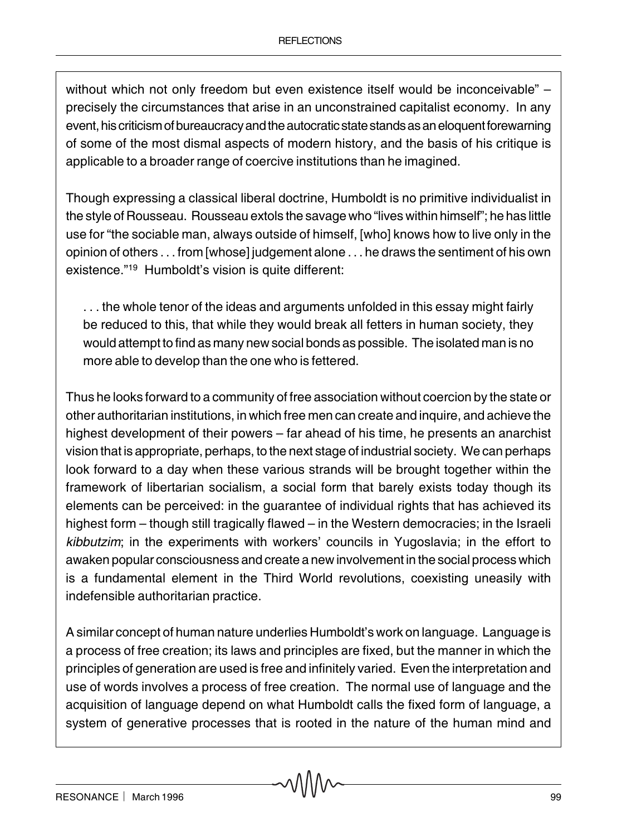without which not only freedom but even existence itself would be inconceivable" precisely the circumstances that arise in an unconstrained capitalist economy. In any event, his criticism of bureaucracy and the autocratic state stands as an eloquent forewarning of some of the most dismal aspects of modern history, and the basis of his critique is applicable to a broader range of coercive institutions than he imagined.

Though expressing a classical liberal doctrine, Humboldt is no primitive individualist in the style of Rousseau. Rousseau extols the savage who "lives within himself"; he has little use for "the sociable man, always outside of himself, [who] knows how to live only in the opinion of others . . . from [whose] judgement alone . . . he draws the sentiment of his own existence."19 Humboldt's vision is quite different:

. . . the whole tenor of the ideas and arguments unfolded in this essay might fairly be reduced to this, that while they would break all fetters in human society, they would attempt to find as many new social bonds as possible. The isolated man is no more able to develop than the one who is fettered.

Thus he looks forward to a community of free association without coercion by the state or other authoritarian institutions, in which free men can create and inquire, and achieve the highest development of their powers – far ahead of his time, he presents an anarchist vision that is appropriate, perhaps, to the next stage of industrial society. We can perhaps look forward to a day when these various strands will be brought together within the framework of libertarian socialism, a social form that barely exists today though its elements can be perceived: in the guarantee of individual rights that has achieved its highest form – though still tragically flawed – in the Western democracies; in the Israeli *kibbutzim*; in the experiments with workers' councils in Yugoslavia; in the effort to awaken popular consciousness and create a new involvement in the social process which is a fundamental element in the Third World revolutions, coexisting uneasily with indefensible authoritarian practice.

A similar concept of human nature underlies Humboldt's work on language. Language is a process of free creation; its laws and principles are fixed, but the manner in which the principles of generation are used is free and infinitely varied. Even the interpretation and use of words involves a process of free creation. The normal use of language and the acquisition of language depend on what Humboldt calls the fixed form of language, a system of generative processes that is rooted in the nature of the human mind and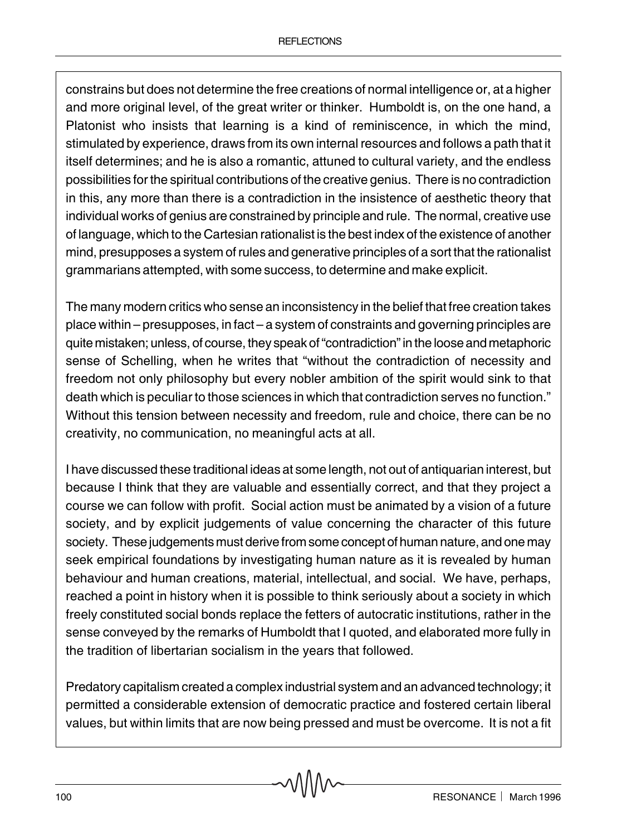constrains but does not determine the free creations of normal intelligence or, at a higher and more original level, of the great writer or thinker. Humboldt is, on the one hand, a Platonist who insists that learning is a kind of reminiscence, in which the mind, stimulated by experience, draws from its own internal resources and follows a path that it itself determines; and he is also a romantic, attuned to cultural variety, and the endless possibilities for the spiritual contributions of the creative genius. There is no contradiction in this, any more than there is a contradiction in the insistence of aesthetic theory that individual works of genius are constrained by principle and rule. The normal, creative use of language, which to the Cartesian rationalist is the best index of the existence of another mind, presupposes a system of rules and generative principles of a sort that the rationalist grammarians attempted, with some success, to determine and make explicit.

The many modern critics who sense an inconsistency in the belief that free creation takes place within – presupposes, in fact – a system of constraints and governing principles are quite mistaken; unless, of course, they speak of "contradiction" in the loose and metaphoric sense of Schelling, when he writes that "without the contradiction of necessity and freedom not only philosophy but every nobler ambition of the spirit would sink to that death which is peculiar to those sciences in which that contradiction serves no function." Without this tension between necessity and freedom, rule and choice, there can be no creativity, no communication, no meaningful acts at all.

I have discussed these traditional ideas at some length, not out of antiquarian interest, but because I think that they are valuable and essentially correct, and that they project a course we can follow with profit. Social action must be animated by a vision of a future society, and by explicit judgements of value concerning the character of this future society. These judgements must derive from some concept of human nature, and one may seek empirical foundations by investigating human nature as it is revealed by human behaviour and human creations, material, intellectual, and social. We have, perhaps, reached a point in history when it is possible to think seriously about a society in which freely constituted social bonds replace the fetters of autocratic institutions, rather in the sense conveyed by the remarks of Humboldt that I quoted, and elaborated more fully in the tradition of libertarian socialism in the years that followed.

Predatory capitalism created a complex industrial system and an advanced technology; it permitted a considerable extension of democratic practice and fostered certain liberal values, but within limits that are now being pressed and must be overcome. It is not a fit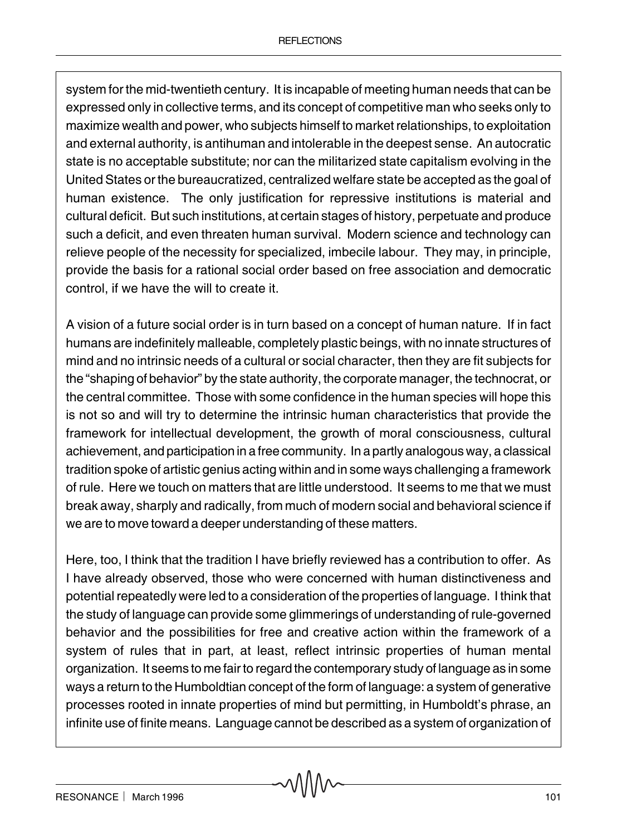system for the mid-twentieth century. It is incapable of meeting human needs that can be expressed only in collective terms, and its concept of competitive man who seeks only to maximize wealth and power, who subjects himself to market relationships, to exploitation and external authority, is antihuman and intolerable in the deepest sense. An autocratic state is no acceptable substitute; nor can the militarized state capitalism evolving in the United States or the bureaucratized, centralized welfare state be accepted as the goal of human existence. The only justification for repressive institutions is material and cultural deficit. But such institutions, at certain stages of history, perpetuate and produce such a deficit, and even threaten human survival. Modern science and technology can relieve people of the necessity for specialized, imbecile labour. They may, in principle, provide the basis for a rational social order based on free association and democratic control, if we have the will to create it.

A vision of a future social order is in turn based on a concept of human nature. If in fact humans are indefinitely malleable, completely plastic beings, with no innate structures of mind and no intrinsic needs of a cultural or social character, then they are fit subjects for the "shaping of behavior" by the state authority, the corporate manager, the technocrat, or the central committee. Those with some confidence in the human species will hope this is not so and will try to determine the intrinsic human characteristics that provide the framework for intellectual development, the growth of moral consciousness, cultural achievement, and participation in a free community. In a partly analogous way, a classical tradition spoke of artistic genius acting within and in some ways challenging a framework of rule. Here we touch on matters that are little understood. It seems to me that we must break away, sharply and radically, from much of modern social and behavioral science if we are to move toward a deeper understanding of these matters.

Here, too, I think that the tradition I have briefly reviewed has a contribution to offer. As I have already observed, those who were concerned with human distinctiveness and potential repeatedly were led to a consideration of the properties of language. I think that the study of language can provide some glimmerings of understanding of rule-governed behavior and the possibilities for free and creative action within the framework of a system of rules that in part, at least, reflect intrinsic properties of human mental organization. It seems to me fair to regard the contemporary study of language as in some ways a return to the Humboldtian concept of the form of language: a system of generative processes rooted in innate properties of mind but permitting, in Humboldt's phrase, an infinite use of finite means. Language cannot be described as a system of organization of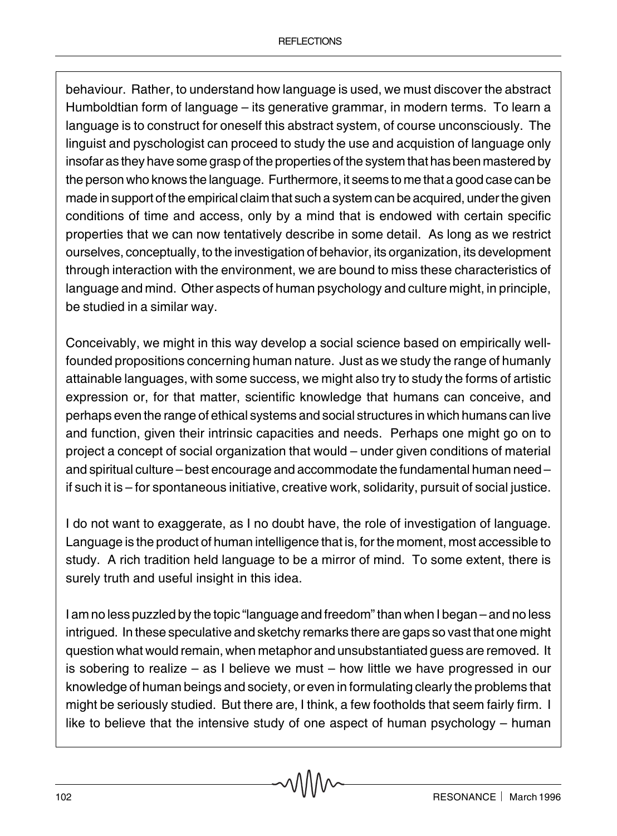behaviour. Rather, to understand how language is used, we must discover the abstract Humboldtian form of language – its generative grammar, in modern terms. To learn a language is to construct for oneself this abstract system, of course unconsciously. The linguist and pyschologist can proceed to study the use and acquistion of language only insofar as they have some grasp of the properties of the system that has been mastered by the person who knows the language. Furthermore, it seems to me that a good case can be made in support of the empirical claim that such a system can be acquired, under the given conditions of time and access, only by a mind that is endowed with certain specific properties that we can now tentatively describe in some detail. As long as we restrict ourselves, conceptually, to the investigation of behavior, its organization, its development through interaction with the environment, we are bound to miss these characteristics of language and mind. Other aspects of human psychology and culture might, in principle, be studied in a similar way.

Conceivably, we might in this way develop a social science based on empirically wellfounded propositions concerning human nature. Just as we study the range of humanly attainable languages, with some success, we might also try to study the forms of artistic expression or, for that matter, scientific knowledge that humans can conceive, and perhaps even the range of ethical systems and social structures in which humans can live and function, given their intrinsic capacities and needs. Perhaps one might go on to project a concept of social organization that would – under given conditions of material and spiritual culture – best encourage and accommodate the fundamental human need – if such it is – for spontaneous initiative, creative work, solidarity, pursuit of social justice.

I do not want to exaggerate, as I no doubt have, the role of investigation of language. Language is the product of human intelligence that is, for the moment, most accessible to study. A rich tradition held language to be a mirror of mind. To some extent, there is surely truth and useful insight in this idea.

I am no less puzzled by the topic "language and freedom" than when I began – and no less intrigued. In these speculative and sketchy remarks there are gaps so vast that one might question what would remain, when metaphor and unsubstantiated guess are removed. It is sobering to realize – as I believe we must – how little we have progressed in our knowledge of human beings and society, or even in formulating clearly the problems that might be seriously studied. But there are, I think, a few footholds that seem fairly firm. I like to believe that the intensive study of one aspect of human psychology – human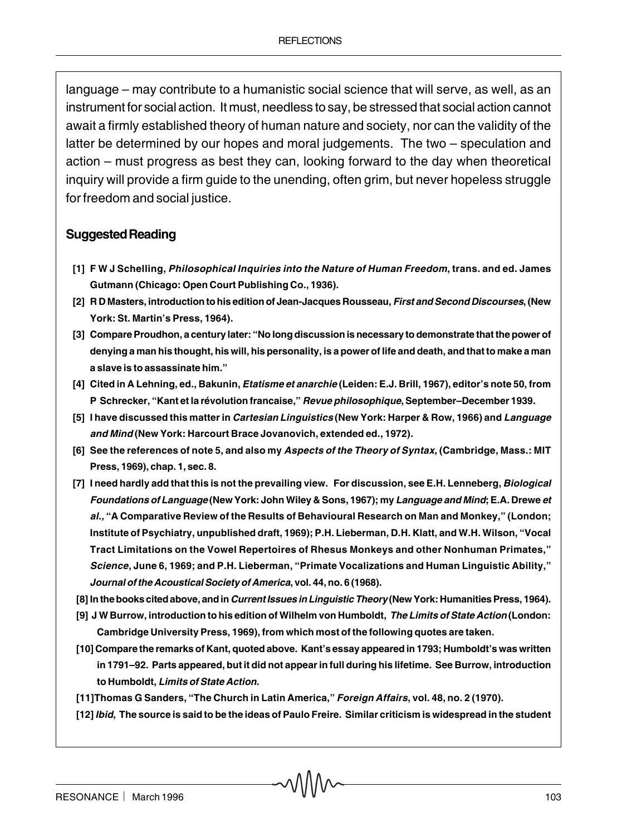language – may contribute to a humanistic social science that will serve, as well, as an instrument for social action. It must, needless to say, be stressed that social action cannot await a firmly established theory of human nature and society, nor can the validity of the latter be determined by our hopes and moral judgements. The two – speculation and action – must progress as best they can, looking forward to the day when theoretical inquiry will provide a firm guide to the unending, often grim, but never hopeless struggle for freedom and social justice.

### **Suggested Reading**

- **[1] F W J Schelling,** *Philosophical Inquiries into the Nature of Human Freedom***, trans. and ed. James Gutmann (Chicago: Open Court Publishing Co., 1936).**
- **[2] R D Masters, introduction to his edition of Jean-Jacques Rousseau,** *First and Second Discourses***, (New York: St. Martin's Press, 1964).**
- **[3] Compare Proudhon, a century later: "No long discussion is necessary to demonstrate that the power of denying a man his thought, his will, his personality, is a power of life and death, and that to make a man a slave is to assassinate him."**
- **[4] Cited in A Lehning, ed., Bakunin,** *Etatisme et anarchie* **(Leiden: E.J. Brill, 1967), editor's note 50, from P Schrecker, "Kant et la révolution francaise,"** *Revue philosophique***, September–December 1939.**
- **[5] I have discussed this matter in** *Cartesian Linguistics* **(New York: Harper & Row, 1966) and** *Language and Mind* **(New York: Harcourt Brace Jovanovich, extended ed., 1972).**
- **[6] See the references of note 5, and also my** *Aspects of the Theory of Syntax***, (Cambridge, Mass.: MIT Press, 1969), chap. 1, sec. 8.**
- **[7] I need hardly add that this is not the prevailing view. For discussion, see E.H. Lenneberg,** *Biological Foundations of Language* **(New York: John Wiley & Sons, 1967); my** *Language and Mind***; E.A. Drewe** *et al.,* **"A Comparative Review of the Results of Behavioural Research on Man and Monkey," (London; Institute of Psychiatry, unpublished draft, 1969); P.H. Lieberman, D.H. Klatt, and W.H. Wilson, "Vocal Tract Limitations on the Vowel Repertoires of Rhesus Monkeys and other Nonhuman Primates,"** *Science***, June 6, 1969; and P.H. Lieberman, "Primate Vocalizations and Human Linguistic Ability,"** *Journal of the Acoustical Society of America***, vol. 44, no. 6 (1968).**
- **[8] In the books cited above, and in** *Current Issues in Linguistic Theory* **(New York: Humanities Press, 1964).**
- **[9] J W Burrow, introduction to his edition of Wilhelm von Humboldt,** *The Limits of State Action* **(London: Cambridge University Press, 1969), from which most of the following quotes are taken.**
- **[10] Compare the remarks of Kant, quoted above. Kant's essay appeared in 1793; Humboldt's was written in 1791–92. Parts appeared, but it did not appear in full during his lifetime. See Burrow, introduction to Humboldt,** *Limits of State Action***.**
- **[11]Thomas G Sanders, "The Church in Latin America,"** *Foreign Affairs***, vol. 48, no. 2 (1970).**
- **[12]** *Ibid***, The source is said to be the ideas of Paulo Freire. Similar criticism is widespread in the student**